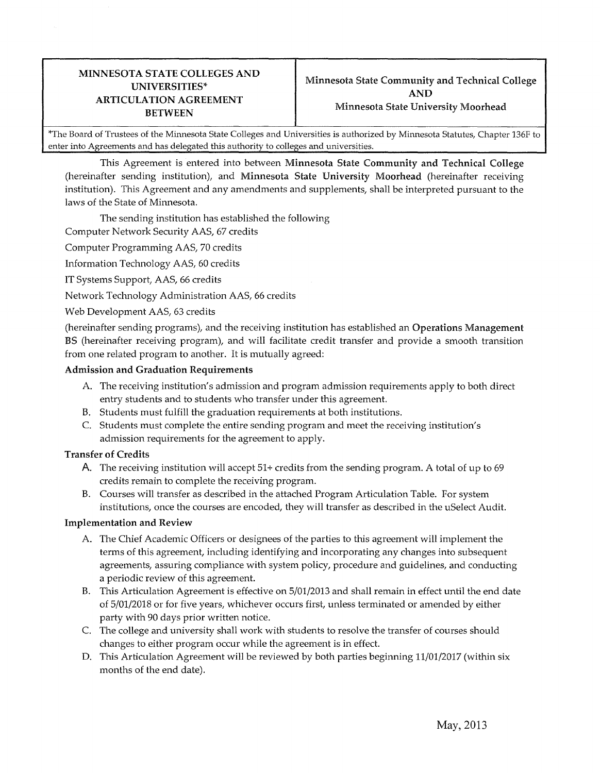## MINNESOTA STATE COLLEGES AND **ARTICULATION AGREEMENT**

\*The Board of Trustees of the Minnesota State Colleges and Universities is authorized by Minnesota Statutes, Chapter 136F to enter into Agreements and has delegated this authority to colleges and universities.

This Agreement is entered into between Minnesota State Community and Technical College (hereinafter sending institution), and Minnesota State University Moorhead (hereinafter receiving institution). This Agreement and any amendments and supplements, shall be interpreted pursuant to the laws of the State of Minnesota.

The sending institution has established the following

Computer Network Security AAS, 67 credits

Computer Programming AAS, 70 credits

Information Technology AAS, 60 credits

IT Systems Support, AAS, 66 credits

Network Technology Administration AAS, 66 credits

Web Development AAS, 63 credits

(hereinafter sending programs), and the receiving institution has established an Operations Management BS (hereinafter receiving program), and will facilitate credit transfer and provide a smooth transition from one related program to another. It is mutually agreed:

## Admission and Graduation Requirements

- A The receiving institution's admission and program admission requirements apply to both direct entry students and to students who transfer under this agreement.
- B. Students must fulfill the graduation requirements at both institutions.
- C. Students must complete the entire sending program and meet the receiving institution's admission requirements for the agreement to apply.

## Transfer of Credits

- A. The receiving institution will accept 51+ credits from the sending program. A total of up to 69 credits remain to complete the receiving program.
- B. Courses will transfer as described in the attached Program Articulation Table. For system institutions, once the courses are encoded, they will transfer as described in the uSelect Audit.

## Implementation and Review

- A The Chief Academic Officers or designees of the parties to this agreement will implement the terms of this agreement, including identifying and incorporating any changes into subsequent agreements, assuring compliance with system policy, procedure and guidelines, and conducting a periodic review of this agreement.
- B. This Articulation Agreement is effective on 5/01/2013 and shall remain in effect until the end date of 5/01/2018 or for five years, whichever occurs first, unless terminated or amended by either party with 90 days prior written notice.
- C. The college and university shall work with students to resolve the transfer of courses should changes to either program occur while the agreement is in effect.
- D. This Articulation Agreement will be reviewed by both parties beginning 11/01/2017 (within six months of the end date).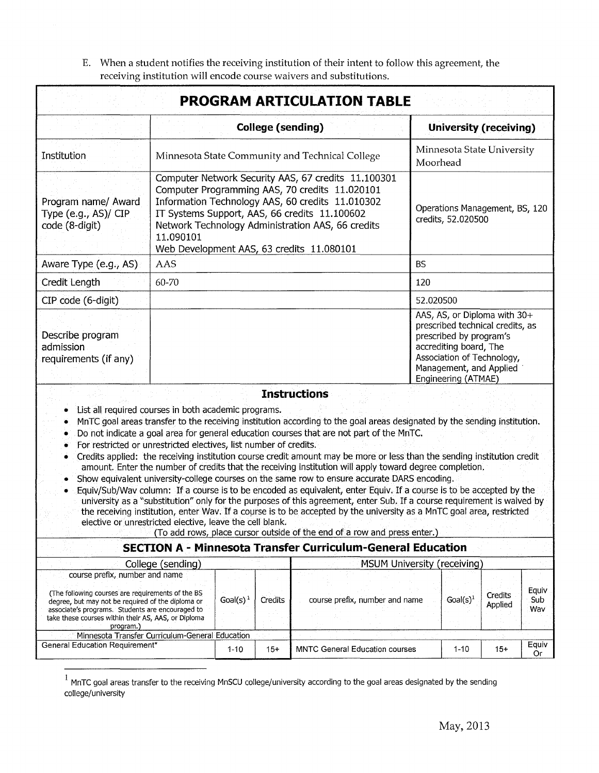E. When a student notifies the receiving institution of their intent to follow this agreement, the receiving institution will encode course waivers and substitutions.

|                                                                                                                                                                                                                                                                  |                                                                                                                                                                                                                                                                                                                           |             |                          | <b>PROGRAM ARTICULATION TABLE</b>                                                                                                                                                                                                                                                                                                                                                                                                                                                                                                                                                                                                                                                                                                                                                                                                                                                                                                                                                                                                                                                                              |                                                                          |                                                                                                                           |                     |
|------------------------------------------------------------------------------------------------------------------------------------------------------------------------------------------------------------------------------------------------------------------|---------------------------------------------------------------------------------------------------------------------------------------------------------------------------------------------------------------------------------------------------------------------------------------------------------------------------|-------------|--------------------------|----------------------------------------------------------------------------------------------------------------------------------------------------------------------------------------------------------------------------------------------------------------------------------------------------------------------------------------------------------------------------------------------------------------------------------------------------------------------------------------------------------------------------------------------------------------------------------------------------------------------------------------------------------------------------------------------------------------------------------------------------------------------------------------------------------------------------------------------------------------------------------------------------------------------------------------------------------------------------------------------------------------------------------------------------------------------------------------------------------------|--------------------------------------------------------------------------|---------------------------------------------------------------------------------------------------------------------------|---------------------|
|                                                                                                                                                                                                                                                                  |                                                                                                                                                                                                                                                                                                                           |             | <b>College (sending)</b> |                                                                                                                                                                                                                                                                                                                                                                                                                                                                                                                                                                                                                                                                                                                                                                                                                                                                                                                                                                                                                                                                                                                |                                                                          | <b>University (receiving)</b>                                                                                             |                     |
| Institution                                                                                                                                                                                                                                                      | Minnesota State Community and Technical College                                                                                                                                                                                                                                                                           |             |                          | Minnesota State University<br>Moorhead                                                                                                                                                                                                                                                                                                                                                                                                                                                                                                                                                                                                                                                                                                                                                                                                                                                                                                                                                                                                                                                                         |                                                                          |                                                                                                                           |                     |
| Program name/ Award<br>Type (e.g., AS)/ CIP<br>code (8-digit)                                                                                                                                                                                                    | Computer Network Security AAS, 67 credits 11.100301<br>Computer Programming AAS, 70 credits 11.020101<br>Information Technology AAS, 60 credits 11.010302<br>IT Systems Support, AAS, 66 credits 11.100602<br>Network Technology Administration AAS, 66 credits<br>11.090101<br>Web Development AAS, 63 credits 11.080101 |             |                          | Operations Management, BS, 120<br>credits, 52.020500                                                                                                                                                                                                                                                                                                                                                                                                                                                                                                                                                                                                                                                                                                                                                                                                                                                                                                                                                                                                                                                           |                                                                          |                                                                                                                           |                     |
| Aware Type (e.g., AS)                                                                                                                                                                                                                                            | AAS                                                                                                                                                                                                                                                                                                                       |             |                          |                                                                                                                                                                                                                                                                                                                                                                                                                                                                                                                                                                                                                                                                                                                                                                                                                                                                                                                                                                                                                                                                                                                | <b>BS</b>                                                                |                                                                                                                           |                     |
| Credit Length                                                                                                                                                                                                                                                    | 60-70                                                                                                                                                                                                                                                                                                                     |             |                          |                                                                                                                                                                                                                                                                                                                                                                                                                                                                                                                                                                                                                                                                                                                                                                                                                                                                                                                                                                                                                                                                                                                | 120                                                                      |                                                                                                                           |                     |
| CIP code (6-digit)                                                                                                                                                                                                                                               |                                                                                                                                                                                                                                                                                                                           |             |                          |                                                                                                                                                                                                                                                                                                                                                                                                                                                                                                                                                                                                                                                                                                                                                                                                                                                                                                                                                                                                                                                                                                                | 52.020500                                                                |                                                                                                                           |                     |
| Describe program<br>admission<br>requirements (if any)                                                                                                                                                                                                           |                                                                                                                                                                                                                                                                                                                           |             |                          |                                                                                                                                                                                                                                                                                                                                                                                                                                                                                                                                                                                                                                                                                                                                                                                                                                                                                                                                                                                                                                                                                                                | prescribed by program's<br>accrediting board, The<br>Engineering (ATMAE) | AAS, AS, or Diploma with 30+<br>prescribed technical credits, as<br>Association of Technology,<br>Management, and Applied |                     |
| List all required courses in both academic programs.<br>۰<br>۰<br>For restricted or unrestricted electives, list number of credits.<br>۰<br>۰<br>$\bullet$<br>elective or unrestricted elective, leave the cell blank.                                           |                                                                                                                                                                                                                                                                                                                           |             |                          | <b>Instructions</b><br>MnTC goal areas transfer to the receiving institution according to the goal areas designated by the sending institution.<br>Do not indicate a goal area for general education courses that are not part of the MnTC.<br>Credits applied: the receiving institution course credit amount may be more or less than the sending institution credit<br>amount. Enter the number of credits that the receiving institution will apply toward degree completion.<br>Show equivalent university-college courses on the same row to ensure accurate DARS encoding.<br>Equiv/Sub/Way column: If a course is to be encoded as equivalent, enter Equiv. If a course is to be accepted by the<br>university as a "substitution" only for the purposes of this agreement, enter Sub. If a course requirement is waived by<br>the receiving institution, enter Wav. If a course is to be accepted by the university as a MnTC goal area, restricted<br>(To add rows, place cursor outside of the end of a row and press enter.)<br><b>SECTION A - Minnesota Transfer Curriculum-General Education</b> |                                                                          |                                                                                                                           |                     |
|                                                                                                                                                                                                                                                                  | College (sending)                                                                                                                                                                                                                                                                                                         |             |                          |                                                                                                                                                                                                                                                                                                                                                                                                                                                                                                                                                                                                                                                                                                                                                                                                                                                                                                                                                                                                                                                                                                                | MSUM University (receiving)                                              |                                                                                                                           |                     |
| course prefix, number and name<br>(The following courses are requirements of the BS<br>degree, but may not be required of the diploma or<br>associate's programs. Students are encouraged to<br>take these courses within their AS, AAS, or Diploma<br>program.) |                                                                                                                                                                                                                                                                                                                           | $Goal(s)^1$ | Credits                  | course prefix, number and name                                                                                                                                                                                                                                                                                                                                                                                                                                                                                                                                                                                                                                                                                                                                                                                                                                                                                                                                                                                                                                                                                 | $Goal(s)^1$                                                              | Credits<br>Applied                                                                                                        | Equiv<br>Sub<br>Wav |
| Minnesota Transfer Curriculum-General Education<br>General Education Requirement*                                                                                                                                                                                |                                                                                                                                                                                                                                                                                                                           | $1 - 10$    | $15+$                    | <b>MNTC General Education courses</b>                                                                                                                                                                                                                                                                                                                                                                                                                                                                                                                                                                                                                                                                                                                                                                                                                                                                                                                                                                                                                                                                          | $1 - 10$                                                                 | $15+$                                                                                                                     | Equiv               |
|                                                                                                                                                                                                                                                                  |                                                                                                                                                                                                                                                                                                                           |             |                          |                                                                                                                                                                                                                                                                                                                                                                                                                                                                                                                                                                                                                                                                                                                                                                                                                                                                                                                                                                                                                                                                                                                |                                                                          |                                                                                                                           | Or                  |

 $^{\rm 1}$  MnTC goal areas transfer to the receiving MnSCU college/university according to the goal areas designated by the sending college/university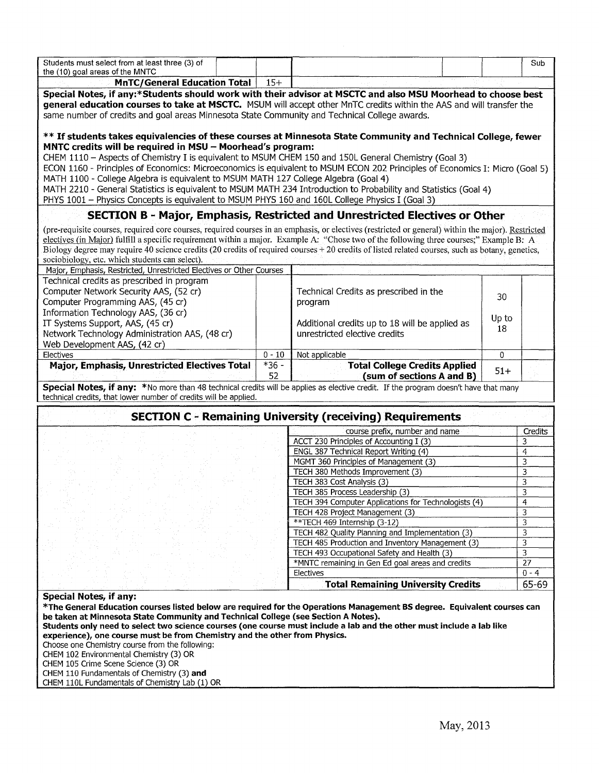| Students must select from at least three (3) of                                                                                                                                                         |          |                                                                                                 |       | Sub            |
|---------------------------------------------------------------------------------------------------------------------------------------------------------------------------------------------------------|----------|-------------------------------------------------------------------------------------------------|-------|----------------|
| the (10) goal areas of the MNTC<br><b>MnTC/General Education Total</b>                                                                                                                                  | $15+$    |                                                                                                 |       |                |
| Special Notes, if any:*Students should work with their advisor at MSCTC and also MSU Moorhead to choose best                                                                                            |          |                                                                                                 |       |                |
| general education courses to take at MSCTC. MSUM will accept other MnTC credits within the AAS and will transfer the                                                                                    |          |                                                                                                 |       |                |
| same number of credits and goal areas Minnesota State Community and Technical College awards.                                                                                                           |          |                                                                                                 |       |                |
|                                                                                                                                                                                                         |          |                                                                                                 |       |                |
| ** If students takes equivalencies of these courses at Minnesota State Community and Technical College, fewer                                                                                           |          |                                                                                                 |       |                |
| MNTC credits will be required in MSU - Moorhead's program:                                                                                                                                              |          |                                                                                                 |       |                |
| CHEM 1110 - Aspects of Chemistry I is equivalent to MSUM CHEM 150 and 150L General Chemistry (Goal 3)                                                                                                   |          |                                                                                                 |       |                |
| ECON 1160 - Principles of Economics: Microeconomics is equivalent to MSUM ECON 202 Principles of Economics I: Micro (Goal 5)                                                                            |          |                                                                                                 |       |                |
| MATH 1100 - College Algebra is equivalent to MSUM MATH 127 College Algebra (Goal 4)                                                                                                                     |          |                                                                                                 |       |                |
| MATH 2210 - General Statistics is equivalent to MSUM MATH 234 Introduction to Probability and Statistics (Goal 4)                                                                                       |          |                                                                                                 |       |                |
| PHYS 1001 - Physics Concepts is equivalent to MSUM PHYS 160 and 160L College Physics I (Goal 3)                                                                                                         |          |                                                                                                 |       |                |
|                                                                                                                                                                                                         |          |                                                                                                 |       |                |
|                                                                                                                                                                                                         |          | SECTION B - Major, Emphasis, Restricted and Unrestricted Electives or Other                     |       |                |
| (pre-requisite courses, required core courses, required courses in an emphasis, or electives (restricted or general) within the major). Restricted                                                      |          |                                                                                                 |       |                |
| electives (in Major) fulfill a specific requirement within a major. Example A: "Chose two of the following three courses;" Example B: A                                                                 |          |                                                                                                 |       |                |
| Biology degree may require 40 science credits (20 credits of required courses + 20 credits of listed related courses, such as botany, genetics,                                                         |          |                                                                                                 |       |                |
| sociobiology, etc. which students can select).                                                                                                                                                          |          |                                                                                                 |       |                |
| Major, Emphasis, Restricted, Unrestricted Electives or Other Courses                                                                                                                                    |          |                                                                                                 |       |                |
| Technical credits as prescribed in program                                                                                                                                                              |          |                                                                                                 |       |                |
| Computer Network Security AAS, (52 cr)                                                                                                                                                                  |          | Technical Credits as prescribed in the                                                          | 30    |                |
| Computer Programming AAS, (45 cr)                                                                                                                                                                       |          | program                                                                                         |       |                |
| Information Technology AAS, (36 cr)                                                                                                                                                                     |          |                                                                                                 | Up to |                |
| IT Systems Support, AAS, (45 cr)                                                                                                                                                                        |          | Additional credits up to 18 will be applied as                                                  | 18    |                |
| Network Technology Administration AAS, (48 cr)                                                                                                                                                          |          | unrestricted elective credits                                                                   |       |                |
| Web Development AAS, (42 cr)<br>Electives                                                                                                                                                               |          |                                                                                                 |       |                |
|                                                                                                                                                                                                         | $0 - 10$ | Not applicable                                                                                  | 0     |                |
|                                                                                                                                                                                                         |          |                                                                                                 |       |                |
| <b>Major, Emphasis, Unrestricted Electives Total</b>                                                                                                                                                    | $*36 -$  | <b>Total College Credits Applied</b>                                                            | $51+$ |                |
|                                                                                                                                                                                                         | 52       | (sum of sections A and B)                                                                       |       |                |
| Special Notes, if any: *No more than 48 technical credits will be applies as elective credit. If the program doesn't have that many<br>technical credits, that lower number of credits will be applied. |          |                                                                                                 |       |                |
|                                                                                                                                                                                                         |          |                                                                                                 |       |                |
|                                                                                                                                                                                                         |          | <b>SECTION C - Remaining University (receiving) Requirements</b>                                |       |                |
|                                                                                                                                                                                                         |          | course prefix, number and name                                                                  |       | Credits        |
|                                                                                                                                                                                                         |          | ACCT 230 Principles of Accounting I (3)                                                         |       | 3              |
|                                                                                                                                                                                                         |          | ENGL 387 Technical Report Writing (4)                                                           |       | $\overline{4}$ |
|                                                                                                                                                                                                         |          | MGMT 360 Principles of Management (3)                                                           |       | 3              |
|                                                                                                                                                                                                         |          | TECH 380 Methods Improvement (3)                                                                |       | 3              |
|                                                                                                                                                                                                         |          | TECH 383 Cost Analysis (3)                                                                      |       | 3              |
|                                                                                                                                                                                                         |          | TECH 385 Process Leadership (3)                                                                 |       | 3              |
|                                                                                                                                                                                                         |          | TECH 394 Computer Applications for Technologists (4)                                            |       | 4              |
|                                                                                                                                                                                                         |          | TECH 428 Project Management (3)                                                                 |       | 3              |
|                                                                                                                                                                                                         |          | **TECH 469 Internship (3-12)                                                                    |       | 3              |
|                                                                                                                                                                                                         |          | TECH 482 Quality Planning and Implementation (3)                                                |       | 3              |
|                                                                                                                                                                                                         |          | TECH 485 Production and Inventory Management (3)<br>TECH 493 Occupational Safety and Health (3) |       | 3<br>3         |
|                                                                                                                                                                                                         |          | *MNTC remaining in Gen Ed goal areas and credits                                                |       | 27             |
|                                                                                                                                                                                                         |          | Electives                                                                                       |       | $0 - 4$        |
|                                                                                                                                                                                                         |          | <b>Total Remaining University Credits</b>                                                       |       | 65-69          |
| <b>Special Notes, if any:</b>                                                                                                                                                                           |          |                                                                                                 |       |                |
| *The General Education courses listed below are required for the Operations Management BS degree. Equivalent courses can                                                                                |          |                                                                                                 |       |                |
| be taken at Minnesota State Community and Technical College (see Section A Notes).                                                                                                                      |          |                                                                                                 |       |                |
| Students only need to select two science courses (one course must include a lab and the other must include a lab like                                                                                   |          |                                                                                                 |       |                |
| experience), one course must be from Chemistry and the other from Physics.                                                                                                                              |          |                                                                                                 |       |                |
| Choose one Chemistry course from the following:                                                                                                                                                         |          |                                                                                                 |       |                |
| CHEM 102 Environmental Chemistry (3) OR<br>CHEM 105 Crime Scene Science (3) OR                                                                                                                          |          |                                                                                                 |       |                |

CHEM 110L Fundamentals of Chemist\_!}' Lab (1) OR